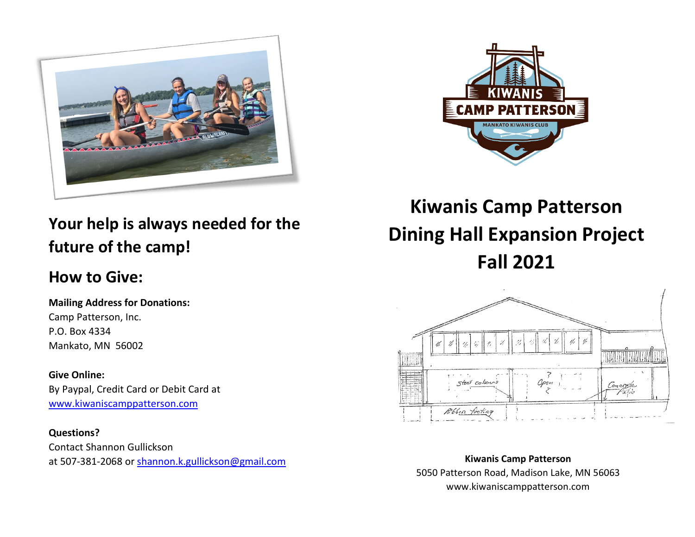



# **Your help is always needed for the future of the camp!**

# **How to Give:**

## **Mailing Address for Donations:**

Camp Patterson, Inc. P.O. Box 4334 Mankato, MN 56002

#### **Give Online:**

By Paypal, Credit Card or Debit Card at [www.kiwaniscamppatterson.com](http://www.kiwaniscamppatterson.com/)

#### **Questions?**

Contact Shannon Gullickson at 507-381-2068 or [shannon.k.gullickson@gmail.com](mailto:shannon.k.gullickson@gmail.com)

# **Kiwanis Camp Patterson Dining Hall Expansion Project Fall 2021**



**Kiwanis Camp Patterson** 5050 Patterson Road, Madison Lake, MN 56063 www.kiwaniscamppatterson.com